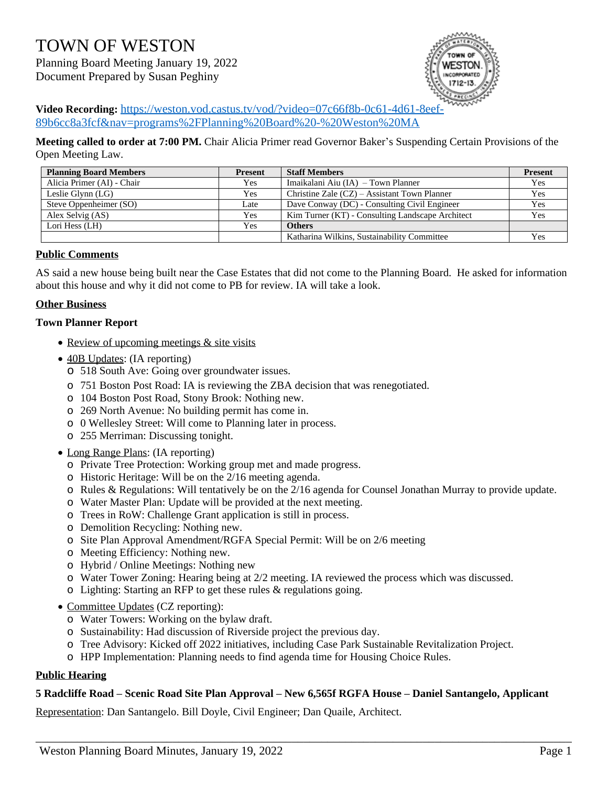# TOWN OF WESTON

Planning Board Meeting January 19, 2022 Document Prepared by Susan Peghiny



**Video Recording:** [https://weston.vod.castus.tv/vod/?video=07c66f8b-0c61-4d61-8eef-](https://weston.vod.castus.tv/vod/?video=07c66f8b-0c61-4d61-8eef-89b6cc8a3fcf&nav=programs%2FPlanning%20Board%20-%20Weston%20MA)89b6cc8a3fcf&nav=programs%2FPlanning%20Board%20-%20Weston%20MA

**Meeting called to order at 7:00 PM.** Chair Alicia Primer read Governor Baker's Suspending Certain Provisions of the Open Meeting Law.

| <b>Planning Board Members</b> | <b>Present</b> | <b>Staff Members</b>                             | <b>Present</b> |
|-------------------------------|----------------|--------------------------------------------------|----------------|
| Alicia Primer (AI) - Chair    | Yes            | Imaikalani Aiu (IA) – Town Planner               | Yes            |
| Leslie Glynn $(LG)$           | Yes            | Christine Zale $(CZ)$ – Assistant Town Planner   | Yes            |
| Steve Oppenheimer (SO)        | Late           | Dave Conway (DC) - Consulting Civil Engineer     | Yes            |
| Alex Selvig (AS)              | Yes            | Kim Turner (KT) - Consulting Landscape Architect | Yes            |
| Lori Hess (LH)                | Yes            | <b>Others</b>                                    |                |
|                               |                | Katharina Wilkins, Sustainability Committee      | Yes            |

## **Public Comments**

AS said a new house being built near the Case Estates that did not come to the Planning Board. He asked for information about this house and why it did not come to PB for review. IA will take a look.

## **Other Business**

## **Town Planner Report**

- Review of upcoming meetings & site visits
- 40B Updates: (IA reporting)
	- o 518 South Ave: Going over groundwater issues.
	- o 751 Boston Post Road: IA is reviewing the ZBA decision that was renegotiated.
	- o 104 Boston Post Road, Stony Brook: Nothing new.
	- o 269 North Avenue: No building permit has come in.
	- o 0 Wellesley Street: Will come to Planning later in process.
	- o 255 Merriman: Discussing tonight.
- Long Range Plans: (IA reporting)
	- o Private Tree Protection: Working group met and made progress.
	- o Historic Heritage: Will be on the 2/16 meeting agenda.
	- o Rules & Regulations: Will tentatively be on the 2/16 agenda for Counsel Jonathan Murray to provide update.
	- o Water Master Plan: Update will be provided at the next meeting.
	- o Trees in RoW: Challenge Grant application is still in process.
	- o Demolition Recycling: Nothing new.
	- o Site Plan Approval Amendment/RGFA Special Permit: Will be on 2/6 meeting
	- o Meeting Efficiency: Nothing new.
	- o Hybrid / Online Meetings: Nothing new
	- o Water Tower Zoning: Hearing being at 2/2 meeting. IA reviewed the process which was discussed.
	- o Lighting: Starting an RFP to get these rules & regulations going.
- Committee Updates (CZ reporting):
	- o Water Towers: Working on the bylaw draft.
	- o Sustainability: Had discussion of Riverside project the previous day.
	- o Tree Advisory: Kicked off 2022 initiatives, including Case Park Sustainable Revitalization Project.
	- o HPP Implementation: Planning needs to find agenda time for Housing Choice Rules.

# **Public Hearing**

# **5 Radcliffe Road – Scenic Road Site Plan Approval – New 6,565f RGFA House – Daniel Santangelo, Applicant**

\_\_\_\_\_\_\_\_\_\_\_\_\_\_\_\_\_\_\_\_\_\_\_\_\_\_\_\_\_\_\_\_\_\_\_\_\_\_\_\_\_\_\_\_\_\_\_\_\_\_\_\_\_\_\_\_\_\_\_\_\_\_\_\_\_\_\_\_\_\_\_\_\_\_\_\_\_\_\_\_\_\_\_\_\_\_\_\_\_\_

Representation: Dan Santangelo. Bill Doyle, Civil Engineer; Dan Quaile, Architect.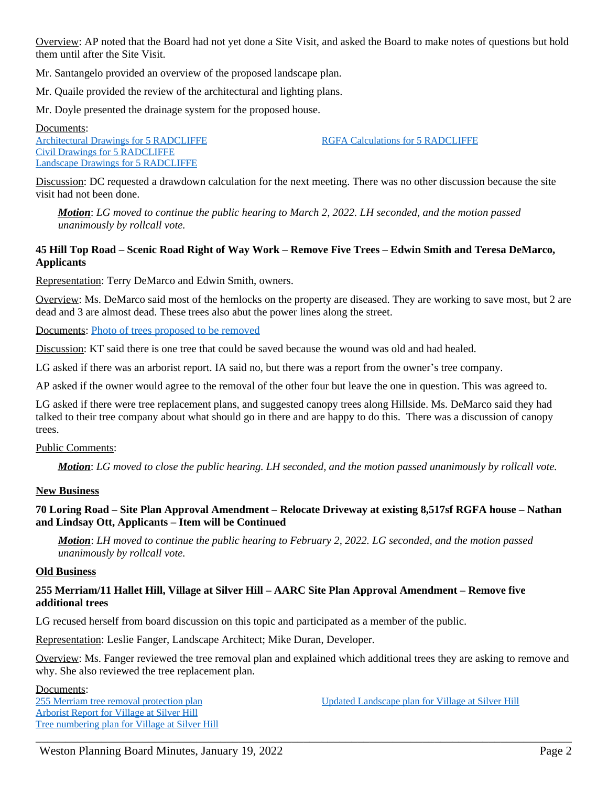Overview: AP noted that the Board had not yet done a Site Visit, and asked the Board to make notes of questions but hold them until after the Site Visit.

Mr. Santangelo provided an overview of the proposed landscape plan.

Mr. Quaile provided the review of the architectural and lighting plans.

Mr. Doyle presented the drainage system for the proposed house.

Documents: [Architectural Drawings for 5 RADCLIFFE](https://www.westonma.gov/DocumentCenter/View/31670/Architectural-Drawings-for-5-RADCLIFFE) [Civil Drawings for 5 RADCLIFFE](https://www.westonma.gov/DocumentCenter/View/31671/Civil-Drawings-for-5-RADCLIFFE) [Landscape Drawings for 5 RADCLIFFE](https://www.westonma.gov/DocumentCenter/View/31672/Landscape-Drawings-for-5-RADCLIFFE)

[RGFA Calculations for 5 RADCLIFFE](https://www.westonma.gov/DocumentCenter/View/31673/RGFA-Calculations-for-5-RADCLIFFE)

Discussion: DC requested a drawdown calculation for the next meeting. There was no other discussion because the site visit had not been done.

*Motion*: *LG moved to continue the public hearing to March 2, 2022. LH seconded, and the motion passed unanimously by rollcall vote.*

## **45 Hill Top Road – Scenic Road Right of Way Work – Remove Five Trees – Edwin Smith and Teresa DeMarco, Applicants**

Representation: Terry DeMarco and Edwin Smith, owners.

Overview: Ms. DeMarco said most of the hemlocks on the property are diseased. They are working to save most, but 2 are dead and 3 are almost dead. These trees also abut the power lines along the street.

Documents: [Photo of trees proposed to be removed](https://www.westonma.gov/DocumentCenter/View/31674/Photo-of-trees-proposed-to-be-removed)

Discussion: KT said there is one tree that could be saved because the wound was old and had healed.

LG asked if there was an arborist report. IA said no, but there was a report from the owner's tree company.

AP asked if the owner would agree to the removal of the other four but leave the one in question. This was agreed to.

LG asked if there were tree replacement plans, and suggested canopy trees along Hillside. Ms. DeMarco said they had talked to their tree company about what should go in there and are happy to do this. There was a discussion of canopy trees.

## Public Comments:

*Motion*: *LG moved to close the public hearing. LH seconded, and the motion passed unanimously by rollcall vote.*

## **New Business**

## **70 Loring Road – Site Plan Approval Amendment – Relocate Driveway at existing 8,517sf RGFA house – Nathan and Lindsay Ott, Applicants – Item will be Continued**

*Motion*: *LH moved to continue the public hearing to February 2, 2022. LG seconded, and the motion passed unanimously by rollcall vote.*

#### **Old Business**

## **255 Merriam/11 Hallet Hill, Village at Silver Hill – AARC Site Plan Approval Amendment – Remove five additional trees**

LG recused herself from board discussion on this topic and participated as a member of the public.

Representation: Leslie Fanger, Landscape Architect; Mike Duran, Developer.

Overview: Ms. Fanger reviewed the tree removal plan and explained which additional trees they are asking to remove and why. She also reviewed the tree replacement plan.

\_\_\_\_\_\_\_\_\_\_\_\_\_\_\_\_\_\_\_\_\_\_\_\_\_\_\_\_\_\_\_\_\_\_\_\_\_\_\_\_\_\_\_\_\_\_\_\_\_\_\_\_\_\_\_\_\_\_\_\_\_\_\_\_\_\_\_\_\_\_\_\_\_\_\_\_\_\_\_\_\_\_\_\_\_\_\_\_\_\_

Documents: [255 Merriam tree removal protection plan](https://www.westonma.gov/DocumentCenter/View/31921/255-Merriam-tree-removal-protection-plan) [Arborist Report for Village at Silver Hill](https://www.westonma.gov/DocumentCenter/View/31327/Arborist-Report-for-Village-at-Silver-Hill) [Tree numbering plan for Village at Silver Hill](https://www.westonma.gov/DocumentCenter/View/31328/Tree-numbering-plan-for-Village-at-Silver-Hill)

[Updated Landscape plan for Village at Silver Hill](https://www.westonma.gov/DocumentCenter/View/31329/Updated-Landscape-plan-for-Village-at-Silver-Hill)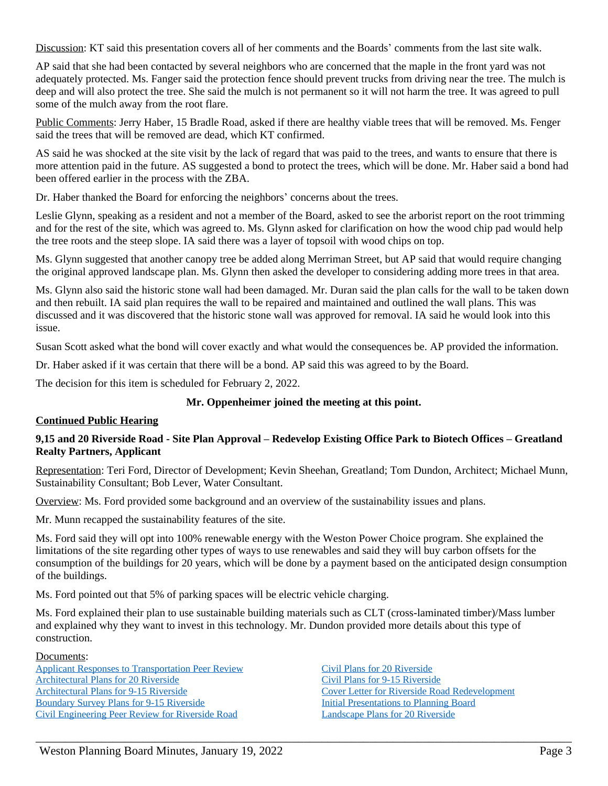Discussion: KT said this presentation covers all of her comments and the Boards' comments from the last site walk.

AP said that she had been contacted by several neighbors who are concerned that the maple in the front yard was not adequately protected. Ms. Fanger said the protection fence should prevent trucks from driving near the tree. The mulch is deep and will also protect the tree. She said the mulch is not permanent so it will not harm the tree. It was agreed to pull some of the mulch away from the root flare.

Public Comments: Jerry Haber, 15 Bradle Road, asked if there are healthy viable trees that will be removed. Ms. Fenger said the trees that will be removed are dead, which KT confirmed.

AS said he was shocked at the site visit by the lack of regard that was paid to the trees, and wants to ensure that there is more attention paid in the future. AS suggested a bond to protect the trees, which will be done. Mr. Haber said a bond had been offered earlier in the process with the ZBA.

Dr. Haber thanked the Board for enforcing the neighbors' concerns about the trees.

Leslie Glynn, speaking as a resident and not a member of the Board, asked to see the arborist report on the root trimming and for the rest of the site, which was agreed to. Ms. Glynn asked for clarification on how the wood chip pad would help the tree roots and the steep slope. IA said there was a layer of topsoil with wood chips on top.

Ms. Glynn suggested that another canopy tree be added along Merriman Street, but AP said that would require changing the original approved landscape plan. Ms. Glynn then asked the developer to considering adding more trees in that area.

Ms. Glynn also said the historic stone wall had been damaged. Mr. Duran said the plan calls for the wall to be taken down and then rebuilt. IA said plan requires the wall to be repaired and maintained and outlined the wall plans. This was discussed and it was discovered that the historic stone wall was approved for removal. IA said he would look into this issue.

Susan Scott asked what the bond will cover exactly and what would the consequences be. AP provided the information.

Dr. Haber asked if it was certain that there will be a bond. AP said this was agreed to by the Board.

The decision for this item is scheduled for February 2, 2022.

# **Mr. Oppenheimer joined the meeting at this point.**

# **Continued Public Hearing**

## **9,15 and 20 Riverside Road - Site Plan Approval – Redevelop Existing Office Park to Biotech Offices – Greatland Realty Partners, Applicant**

Representation: Teri Ford, Director of Development; Kevin Sheehan, Greatland; Tom Dundon, Architect; Michael Munn, Sustainability Consultant; Bob Lever, Water Consultant.

Overview: Ms. Ford provided some background and an overview of the sustainability issues and plans.

Mr. Munn recapped the sustainability features of the site.

Ms. Ford said they will opt into 100% renewable energy with the Weston Power Choice program. She explained the limitations of the site regarding other types of ways to use renewables and said they will buy carbon offsets for the consumption of the buildings for 20 years, which will be done by a payment based on the anticipated design consumption of the buildings.

Ms. Ford pointed out that 5% of parking spaces will be electric vehicle charging.

Ms. Ford explained their plan to use sustainable building materials such as CLT (cross-laminated timber)/Mass lumber and explained why they want to invest in this technology. Mr. Dundon provided more details about this type of construction.

\_\_\_\_\_\_\_\_\_\_\_\_\_\_\_\_\_\_\_\_\_\_\_\_\_\_\_\_\_\_\_\_\_\_\_\_\_\_\_\_\_\_\_\_\_\_\_\_\_\_\_\_\_\_\_\_\_\_\_\_\_\_\_\_\_\_\_\_\_\_\_\_\_\_\_\_\_\_\_\_\_\_\_\_\_\_\_\_\_\_

## Documents:

[Applicant Responses to Transportation Peer Review](https://www.westonma.gov/DocumentCenter/View/31398/Applicant-Responses-to-Transportation-Peer-Review-) [Architectural Plans for 20 Riverside](https://www.westonma.gov/DocumentCenter/View/30833/Architectural-Plans-for-20-Riverside) [Architectural Plans for 9-15 Riverside](https://www.westonma.gov/DocumentCenter/View/30824/Architectural-Plans-for-9-15-Riverside) [Boundary Survey Plans for 9-15 Riverside](https://www.westonma.gov/DocumentCenter/View/30825/Boundary-Survey-Plans-for-9-15-Riverside) [Civil Engineering Peer Review for Riverside Road](https://www.westonma.gov/DocumentCenter/View/31131/Civil-Engineering-Peer-Review-for-Riverside-Road)

[Civil Plans for 20 Riverside](https://www.westonma.gov/DocumentCenter/View/30834/Civil-Plans-for-20-Riverside) [Civil Plans for 9-15 Riverside](https://www.westonma.gov/DocumentCenter/View/30826/Civil-Plans-for-9-15-Riverside) [Cover Letter for Riverside Road Redevelopment](https://www.westonma.gov/DocumentCenter/View/30828/Cover-Letter-for-Riverside-Road-Redevelopment-) [Initial Presentations to Planning Board](https://www.westonma.gov/DocumentCenter/View/31173/Initial-Presentations-to-Planning-Board) [Landscape Plans for 20 Riverside](https://www.westonma.gov/DocumentCenter/View/30832/Landscape-Plans-for-20-Riverside)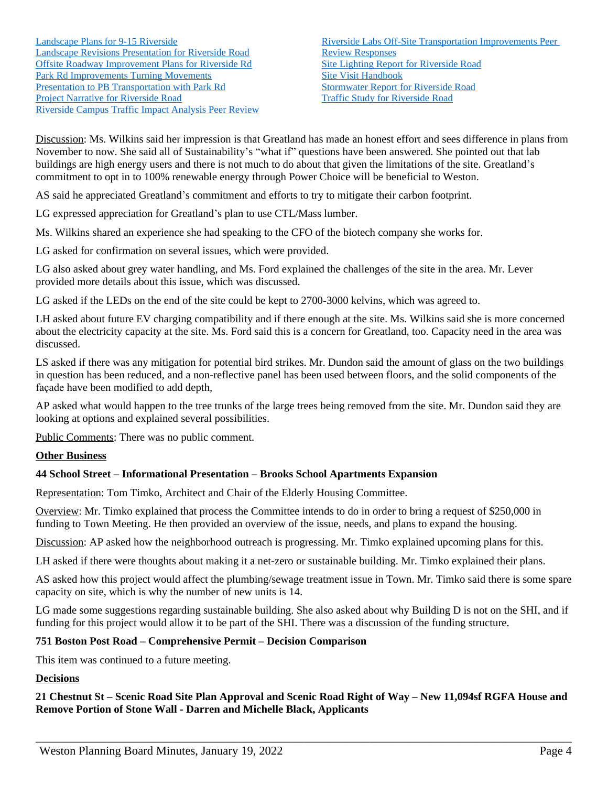Discussion: Ms. Wilkins said her impression is that Greatland has made an honest effort and sees difference in plans from November to now. She said all of Sustainability's "what if" questions have been answered. She pointed out that lab buildings are high energy users and there is not much to do about that given the limitations of the site. Greatland's commitment to opt in to 100% renewable energy through Power Choice will be beneficial to Weston.

AS said he appreciated Greatland's commitment and efforts to try to mitigate their carbon footprint.

LG expressed appreciation for Greatland's plan to use CTL/Mass lumber.

Ms. Wilkins shared an experience she had speaking to the CFO of the biotech company she works for.

LG asked for confirmation on several issues, which were provided.

LG also asked about grey water handling, and Ms. Ford explained the challenges of the site in the area. Mr. Lever provided more details about this issue, which was discussed.

LG asked if the LEDs on the end of the site could be kept to 2700-3000 kelvins, which was agreed to.

LH asked about future EV charging compatibility and if there enough at the site. Ms. Wilkins said she is more concerned about the electricity capacity at the site. Ms. Ford said this is a concern for Greatland, too. Capacity need in the area was discussed.

LS asked if there was any mitigation for potential bird strikes. Mr. Dundon said the amount of glass on the two buildings in question has been reduced, and a non-reflective panel has been used between floors, and the solid components of the façade have been modified to add depth,

AP asked what would happen to the tree trunks of the large trees being removed from the site. Mr. Dundon said they are looking at options and explained several possibilities.

Public Comments: There was no public comment.

## **Other Business**

## **44 School Street – Informational Presentation – Brooks School Apartments Expansion**

Representation: Tom Timko, Architect and Chair of the Elderly Housing Committee.

Overview: Mr. Timko explained that process the Committee intends to do in order to bring a request of \$250,000 in funding to Town Meeting. He then provided an overview of the issue, needs, and plans to expand the housing.

Discussion: AP asked how the neighborhood outreach is progressing. Mr. Timko explained upcoming plans for this.

LH asked if there were thoughts about making it a net-zero or sustainable building. Mr. Timko explained their plans.

AS asked how this project would affect the plumbing/sewage treatment issue in Town. Mr. Timko said there is some spare capacity on site, which is why the number of new units is 14.

LG made some suggestions regarding sustainable building. She also asked about why Building D is not on the SHI, and if funding for this project would allow it to be part of the SHI. There was a discussion of the funding structure.

## **751 Boston Post Road – Comprehensive Permit – Decision Comparison**

This item was continued to a future meeting.

## **Decisions**

**21 Chestnut St – Scenic Road Site Plan Approval and Scenic Road Right of Way – New 11,094sf RGFA House and Remove Portion of Stone Wall - Darren and Michelle Black, Applicants**

\_\_\_\_\_\_\_\_\_\_\_\_\_\_\_\_\_\_\_\_\_\_\_\_\_\_\_\_\_\_\_\_\_\_\_\_\_\_\_\_\_\_\_\_\_\_\_\_\_\_\_\_\_\_\_\_\_\_\_\_\_\_\_\_\_\_\_\_\_\_\_\_\_\_\_\_\_\_\_\_\_\_\_\_\_\_\_\_\_\_